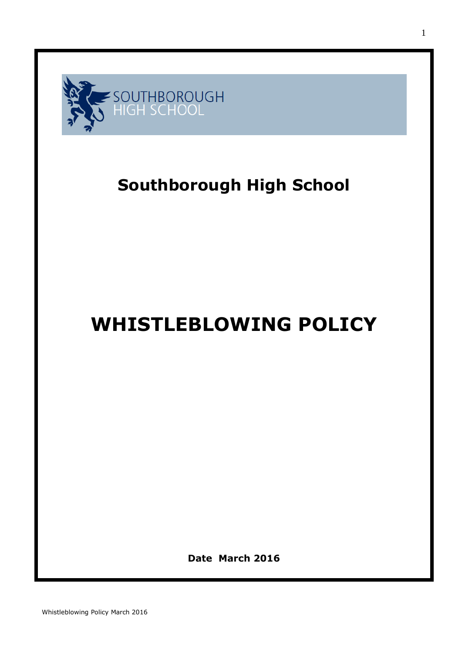

## **Southborough High School**

# **WHISTLEBLOWING POLICY**

**Date March 2016**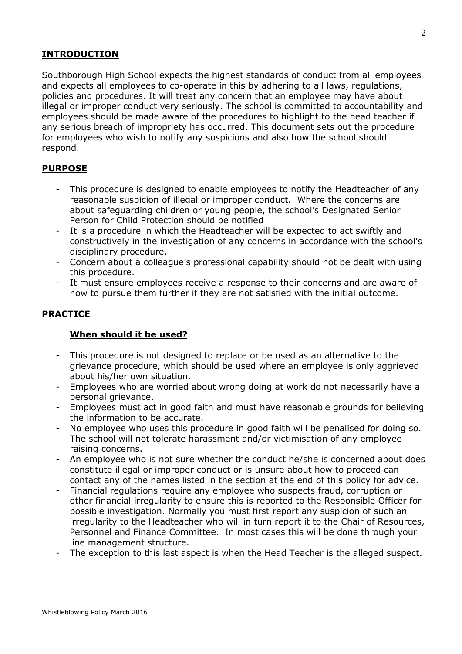#### **INTRODUCTION**

Southborough High School expects the highest standards of conduct from all employees and expects all employees to co-operate in this by adhering to all laws, regulations, policies and procedures. It will treat any concern that an employee may have about illegal or improper conduct very seriously. The school is committed to accountability and employees should be made aware of the procedures to highlight to the head teacher if any serious breach of impropriety has occurred. This document sets out the procedure for employees who wish to notify any suspicions and also how the school should respond.

#### **PURPOSE**

- This procedure is designed to enable employees to notify the Headteacher of any reasonable suspicion of illegal or improper conduct. Where the concerns are about safeguarding children or young people, the school's Designated Senior Person for Child Protection should be notified
- It is a procedure in which the Headteacher will be expected to act swiftly and constructively in the investigation of any concerns in accordance with the school's disciplinary procedure.
- Concern about a colleague's professional capability should not be dealt with using this procedure.
- It must ensure employees receive a response to their concerns and are aware of how to pursue them further if they are not satisfied with the initial outcome.

#### **PRACTICE**

#### **When should it be used?**

- This procedure is not designed to replace or be used as an alternative to the grievance procedure, which should be used where an employee is only aggrieved about his/her own situation.
- Employees who are worried about wrong doing at work do not necessarily have a personal grievance.
- Employees must act in good faith and must have reasonable grounds for believing the information to be accurate.
- No employee who uses this procedure in good faith will be penalised for doing so. The school will not tolerate harassment and/or victimisation of any employee raising concerns.
- An employee who is not sure whether the conduct he/she is concerned about does constitute illegal or improper conduct or is unsure about how to proceed can contact any of the names listed in the section at the end of this policy for advice.
- Financial regulations require any employee who suspects fraud, corruption or other financial irregularity to ensure this is reported to the Responsible Officer for possible investigation. Normally you must first report any suspicion of such an irregularity to the Headteacher who will in turn report it to the Chair of Resources, Personnel and Finance Committee. In most cases this will be done through your line management structure.
- The exception to this last aspect is when the Head Teacher is the alleged suspect.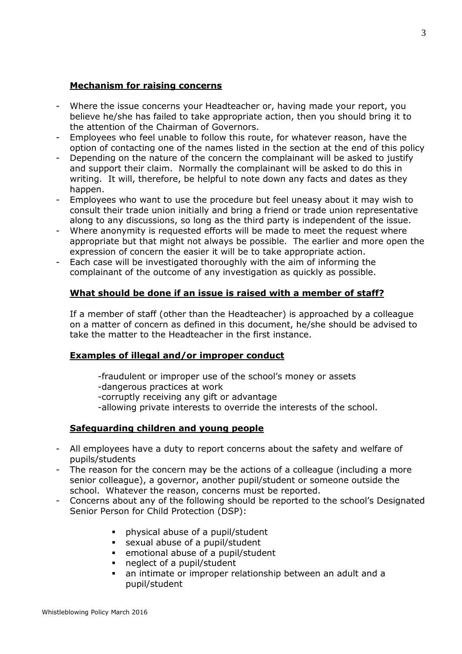#### **Mechanism for raising concerns**

- Where the issue concerns your Headteacher or, having made your report, you believe he/she has failed to take appropriate action, then you should bring it to the attention of the Chairman of Governors.
- Employees who feel unable to follow this route, for whatever reason, have the option of contacting one of the names listed in the section at the end of this policy
- Depending on the nature of the concern the complainant will be asked to justify and support their claim. Normally the complainant will be asked to do this in writing. It will, therefore, be helpful to note down any facts and dates as they happen.
- Employees who want to use the procedure but feel uneasy about it may wish to consult their trade union initially and bring a friend or trade union representative along to any discussions, so long as the third party is independent of the issue.
- Where anonymity is requested efforts will be made to meet the request where appropriate but that might not always be possible. The earlier and more open the expression of concern the easier it will be to take appropriate action.
- Each case will be investigated thoroughly with the aim of informing the complainant of the outcome of any investigation as quickly as possible.

#### **What should be done if an issue is raised with a member of staff?**

If a member of staff (other than the Headteacher) is approached by a colleague on a matter of concern as defined in this document, he/she should be advised to take the matter to the Headteacher in the first instance.

#### **Examples of illegal and/or improper conduct**

- -fraudulent or improper use of the school's money or assets
- -dangerous practices at work
- -corruptly receiving any gift or advantage
- -allowing private interests to override the interests of the school.

#### **Safeguarding children and young people**

- All employees have a duty to report concerns about the safety and welfare of pupils/students
- The reason for the concern may be the actions of a colleague (including a more senior colleague), a governor, another pupil/student or someone outside the school. Whatever the reason, concerns must be reported.
- Concerns about any of the following should be reported to the school's Designated Senior Person for Child Protection (DSP):
	- physical abuse of a pupil/student
	- sexual abuse of a pupil/student
	- emotional abuse of a pupil/student
	- neglect of a pupil/student
	- an intimate or improper relationship between an adult and a pupil/student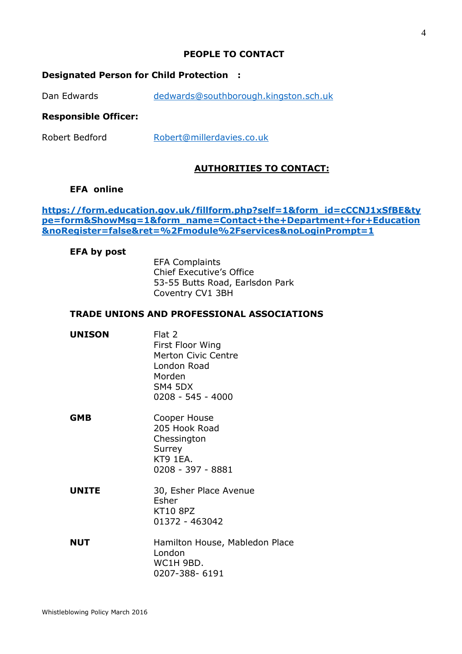#### **PEOPLE TO CONTACT**

#### **Designated Person for Child Protection :**

Dan Edwards [dedwards@southborough.kingston.sch.uk](mailto:dedwards@southborough.kingston.sch.uk)

#### **Responsible Officer:**

Robert Bedford [Robert@millerdavies.co.uk](mailto:Robert@millerdavies.co.uk)

#### **AUTHORITIES TO CONTACT:**

#### **EFA online**

#### **[https://form.education.gov.uk/fillform.php?self=1&form\\_id=cCCNJ1xSfBE&ty](https://form.education.gov.uk/fillform.php?self=1&form_id=cCCNJ1xSfBE&type=form&ShowMsg=1&form_name=Contact+the+Department+for+Education&noRegister=false&ret=%2Fmodule%2Fservices&noLoginPrompt=1) [pe=form&ShowMsg=1&form\\_name=Contact+the+Department+for+Education](https://form.education.gov.uk/fillform.php?self=1&form_id=cCCNJ1xSfBE&type=form&ShowMsg=1&form_name=Contact+the+Department+for+Education&noRegister=false&ret=%2Fmodule%2Fservices&noLoginPrompt=1) [&noRegister=false&ret=%2Fmodule%2Fservices&noLoginPrompt=1](https://form.education.gov.uk/fillform.php?self=1&form_id=cCCNJ1xSfBE&type=form&ShowMsg=1&form_name=Contact+the+Department+for+Education&noRegister=false&ret=%2Fmodule%2Fservices&noLoginPrompt=1)**

#### **EFA by post**

EFA Complaints Chief Executive's Office 53-55 Butts Road, Earlsdon Park Coventry CV1 3BH

#### **TRADE UNIONS AND PROFESSIONAL ASSOCIATIONS**

| <b>UNISON</b> | Flat 2<br>First Floor Wing<br><b>Merton Civic Centre</b><br>London Road<br>Morden<br>SM4 5DX<br>0208 - 545 - 4000 |
|---------------|-------------------------------------------------------------------------------------------------------------------|
| <b>GMB</b>    | Cooper House<br>205 Hook Road<br>Chessington<br>Surrey<br>KT9 1EA.<br>0208 - 397 - 8881                           |
| <b>UNITE</b>  | 30, Esher Place Avenue<br>Esher<br><b>KT10 8PZ</b><br>01372 - 463042                                              |
| <b>NUT</b>    | Hamilton House, Mabledon Place<br>London<br>WC1H 9BD.                                                             |

0207-388- 6191